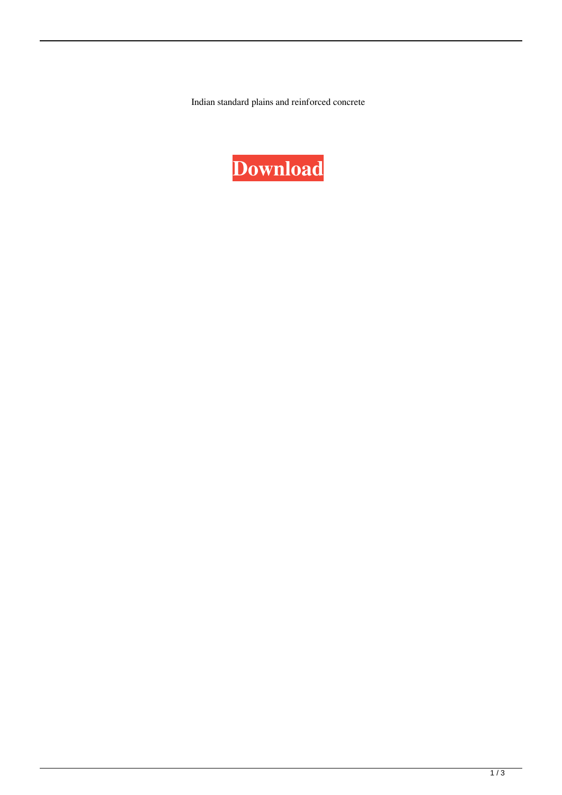Indian standard plains and reinforced concrete

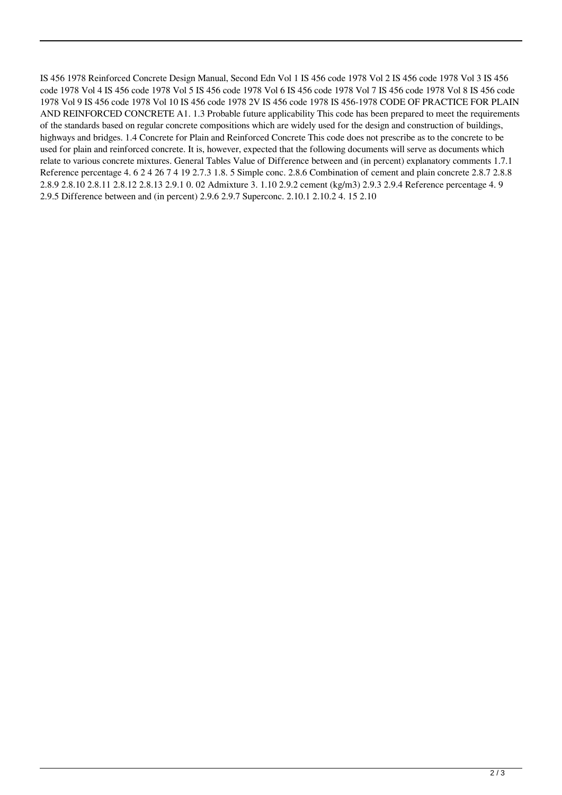IS 456 1978 Reinforced Concrete Design Manual, Second Edn Vol 1 IS 456 code 1978 Vol 2 IS 456 code 1978 Vol 3 IS 456 code 1978 Vol 4 IS 456 code 1978 Vol 5 IS 456 code 1978 Vol 6 IS 456 code 1978 Vol 7 IS 456 code 1978 Vol 8 IS 456 code 1978 Vol 9 IS 456 code 1978 Vol 10 IS 456 code 1978 2V IS 456 code 1978 IS 456-1978 CODE OF PRACTICE FOR PLAIN AND REINFORCED CONCRETE A1. 1.3 Probable future applicability This code has been prepared to meet the requirements of the standards based on regular concrete compositions which are widely used for the design and construction of buildings, highways and bridges. 1.4 Concrete for Plain and Reinforced Concrete This code does not prescribe as to the concrete to be used for plain and reinforced concrete. It is, however, expected that the following documents will serve as documents which relate to various concrete mixtures. General Tables Value of Difference between and (in percent) explanatory comments 1.7.1 Reference percentage 4. 6 2 4 26 7 4 19 2.7.3 1.8. 5 Simple conc. 2.8.6 Combination of cement and plain concrete 2.8.7 2.8.8 2.8.9 2.8.10 2.8.11 2.8.12 2.8.13 2.9.1 0. 02 Admixture 3. 1.10 2.9.2 cement (kg/m3) 2.9.3 2.9.4 Reference percentage 4. 9 2.9.5 Difference between and (in percent) 2.9.6 2.9.7 Superconc. 2.10.1 2.10.2 4. 15 2.10